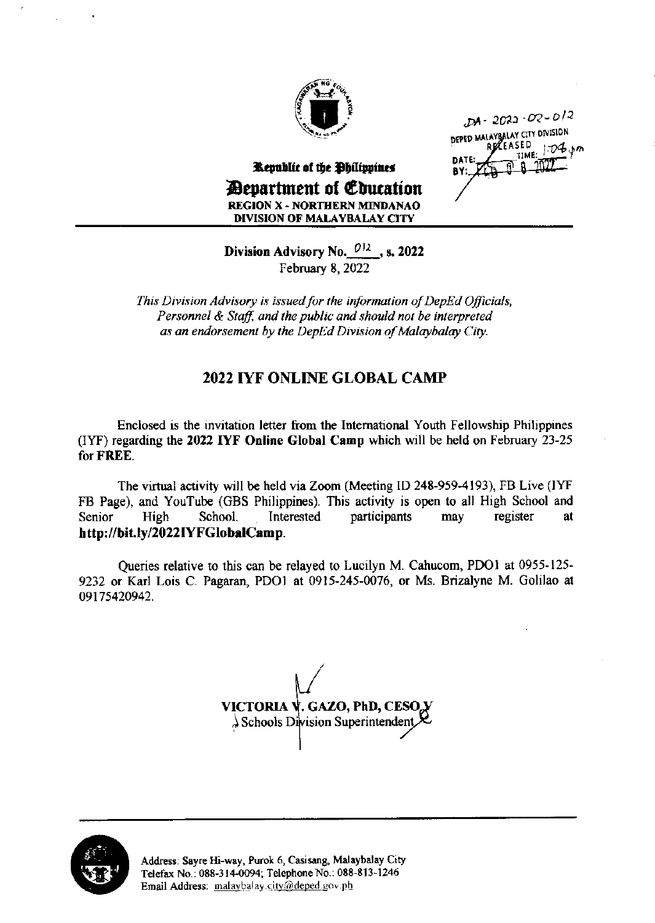

 $DA - 2022 - 02 - 012$ DEPED MALAYBALAY CITY DIVISION RECEASED  $1.04$   $km$ TIMF

Republic of the Philippines **Devartment of Education REGION X - NORTHERN MINDANAO DIVISION OF MALAYBALAY CITY** 

Division Advisory No.  $0/2$ , s. 2022 February 8, 2022

This Division Advisory is issued for the information of DepEd Officials, Personnel & Staff, and the public and should not be interpreted as an endorsement by the DepEd Division of Malaybalay City.

## **2022 IYF ONLINE GLOBAL CAMP**

Enclosed is the invitation letter from the International Youth Fellowship Philippines (IYF) regarding the 2022 IYF Online Global Camp which will be held on February 23-25 for FREE.

The virtual activity will be held via Zoom (Meeting ID 248-959-4193), FB Live (IYF FB Page), and YouTube (GBS Philippines). This activity is open to all High School and School. Interested participants register Senior High may at http://bit.ly/2022IYFGlobalCamp.

Oueries relative to this can be relayed to Lucilyn M. Cahucom, PDO1 at 0955-125-9232 or Karl Lois C. Pagaran, PDO1 at 0915-245-0076, or Ms. Brizalyne M. Golilao at 09175420942.

VICTORIA V. GAZO, PhD, CESO, V  $\lambda$  Schools Division Superintendent